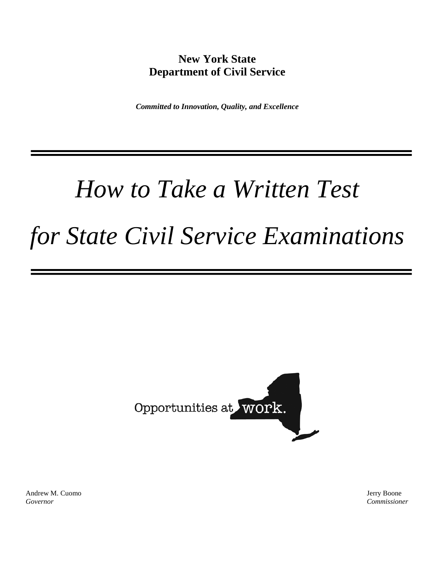# **New York State Department of Civil Service**

*Committed to Innovation, Quality, and Excellence*

# *How to Take a Written Test*

# *for State Civil Service Examinations*



Andrew M. Cuomo Jerry Boone Jerry Boone Jerry Boone *Governor Commissioner*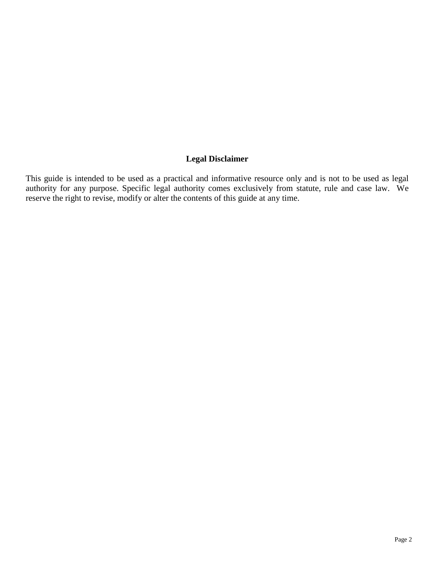## **Legal Disclaimer**

This guide is intended to be used as a practical and informative resource only and is not to be used as legal authority for any purpose. Specific legal authority comes exclusively from statute, rule and case law. We reserve the right to revise, modify or alter the contents of this guide at any time.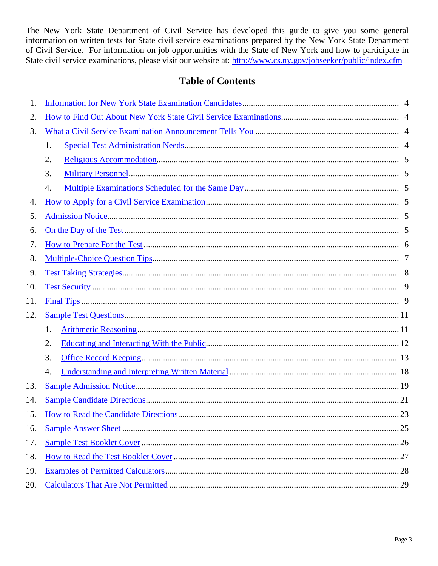The New York State Department of Civil Service has developed this guide to give you some general information on written tests for State civil service examinations prepared by the New York State Department of Civil Service. For information on job opportunities with the State of New York and how to participate in State civil service examinations, please visit our website at: http://www.cs.ny.gov/jobseeker/public/index.cfm

## **Table of Contents**

<span id="page-2-0"></span>

| 1.  |    |  |
|-----|----|--|
| 2.  |    |  |
| 3.  |    |  |
|     | 1. |  |
|     | 2. |  |
|     | 3. |  |
|     | 4. |  |
| 4.  |    |  |
| 5.  |    |  |
| 6.  |    |  |
| 7.  |    |  |
| 8.  |    |  |
| 9.  |    |  |
| 10. |    |  |
| 11. |    |  |
| 12. |    |  |
|     | 1. |  |
|     | 2. |  |
|     | 3. |  |
|     | 4. |  |
| 13. |    |  |
| 14. |    |  |
| 15. |    |  |
| 16. |    |  |
| 17. |    |  |
| 18. |    |  |
| 19. |    |  |
| 20. |    |  |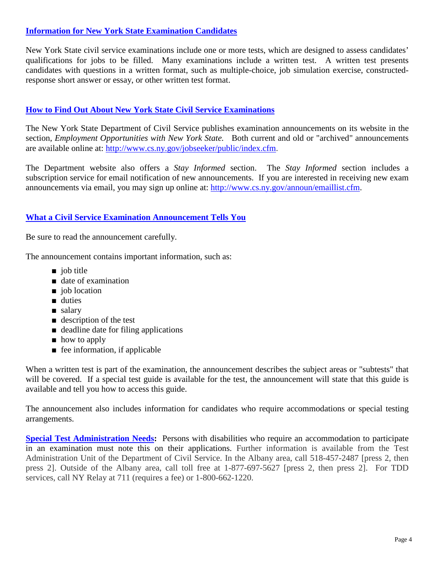#### <span id="page-3-0"></span>**Information for New York State [Examination](#page-2-0) Candidates**

New York State civil service examinations include one or more tests, which are designed to assess candidates' qualifications for jobs to be filled. Many examinations include a written test. A written test presents candidates with questions in a written format, such as multiple-choice, job simulation exercise, constructedresponse short answer or essay, or other written test format.

## <span id="page-3-1"></span>**[How to Find Out About New York State Civil Service Examinations](#page-2-0)**

The New York State Department of Civil Service publishes examination announcements on its website in the section, *Employment Opportunities with New York State*. Both current and old or "archived" announcements are available online at:<http://www.cs.ny.gov/jobseeker/public/index.cfm>.

The Department website also offers a *Stay Informed* section. The *Stay Informed* section includes a subscription service for email notification of new announcements. If you are interested in receiving new exam announcements via email, you may sign up online at: [http://www.cs.ny.gov/announ/emaillist.cfm.](http://www.cs.ny.gov/announ/emaillist.cfm)

### <span id="page-3-2"></span>**[What a Civil Service Examination Announcement Tells You](#page-2-0)**

Be sure to read the announcement carefully.

The announcement contains important information, such as:

- job title
- date of examination
- job location
- duties
- salary
- description of the test
- deadline date for filing applications
- how to apply
- fee information, if applicable

When a written test is part of the examination, the announcement describes the subject areas or "subtests" that will be covered. If a special test guide is available for the test, the announcement will state that this guide is available and tell you how to access this guide.

The announcement also includes information for candidates who require accommodations or special testing arrangements.

<span id="page-3-3"></span>**[Special Test Administration Needs:](#page-2-0)** Persons with disabilities who require an accommodation to participate in an examination must note this on their applications. Further information is available from the Test Administration Unit of the Department of Civil Service. In the Albany area, call 518-457-2487 [press 2, then press 2]. Outside of the Albany area, call toll free at 1-877-697-5627 [press 2, then press 2]. For TDD services, call NY Relay at 711 (requires a fee) or 1-800-662-1220.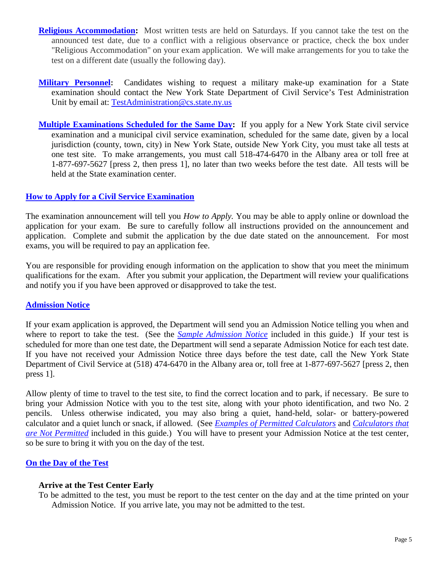- <span id="page-4-0"></span>**[Religious Accommodation:](#page-2-0)** Most written tests are held on Saturdays. If you cannot take the test on the announced test date, due to a conflict with a religious observance or practice, check the box under "Religious Accommodation" on your exam application. We will make arrangements for you to take the test on a different date (usually the following day).
- <span id="page-4-1"></span>**[Military Personnel:](#page-2-0)** Candidates wishing to request a military make-up examination for a State examination should contact the New York State Department of Civil Service's Test Administration Unit by email at: [TestAdministration@cs.state.ny.us](mailto:TestAdministration@cs.state.ny.us)
- <span id="page-4-2"></span>**[Multiple Examinations Scheduled for the Same Day:](#page-2-0)** If you apply for a New York State civil service examination and a municipal civil service examination, scheduled for the same date, given by a local jurisdiction (county, town, city) in New York State, outside New York City, you must take all tests at one test site. To make arrangements, you must call 518-474-6470 in the Albany area or toll free at 1-877-697-5627 [press 2, then press 1], no later than two weeks before the test date. All tests will be held at the State examination center.

#### <span id="page-4-3"></span>**[How to Apply for a Civil Service Examination](#page-2-0)**

The examination announcement will tell you *How to Apply.* You may be able to apply online or download the application for your exam. Be sure to carefully follow all instructions provided on the announcement and application. Complete and submit the application by the due date stated on the announcement. For most exams, you will be required to pay an application fee.

You are responsible for providing enough information on the application to show that you meet the minimum qualifications for the exam. After you submit your application, the Department will review your qualifications and notify you if you have been approved or disapproved to take the test.

#### <span id="page-4-4"></span>**[Admission Notice](#page-2-0)**

If your exam application is approved, the Department will send you an Admission Notice telling you when and where to report to take the test. (See the *[Sample Admission Notice](#page-18-0)* included in this guide.) If your test is scheduled for more than one test date, the Department will send a separate Admission Notice for each test date. If you have not received your Admission Notice three days before the test date, call the New York State Department of Civil Service at (518) 474-6470 in the Albany area or, toll free at 1-877-697-5627 [press 2, then press 1].

Allow plenty of time to travel to the test site, to find the correct location and to park, if necessary. Be sure to bring your Admission Notice with you to the test site, along with your photo identification, and two No. 2 pencils. Unless otherwise indicated, you may also bring a quiet, hand-held, solar- or battery-powered calculator and a quiet lunch or snack, if allowed. (See *[Examples of Permitted Calculators](#page-25-0)* and *[Calculators that](#page-26-0)  [are Not Permitted](#page-26-0)* included in this guide.) You will have to present your Admission Notice at the test center, so be sure to bring it with you on the day of the test.

#### <span id="page-4-5"></span>**[On the Day of the Test](#page-2-0)**

#### **Arrive at the Test Center Early**

To be admitted to the test, you must be report to the test center on the day and at the time printed on your Admission Notice. If you arrive late, you may not be admitted to the test.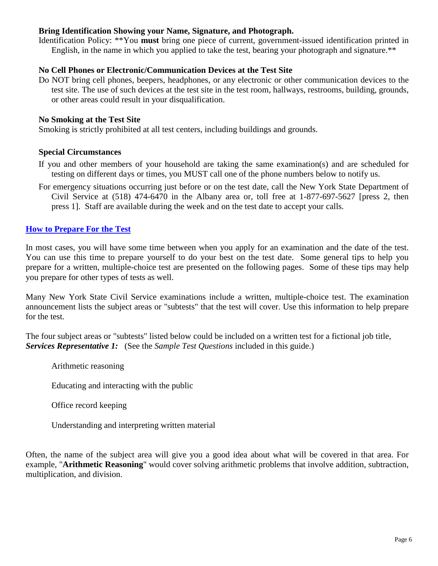#### **Bring Identification Showing your Name, Signature, and Photograph.**

Identification Policy: \*\*You **must** bring one piece of current, government-issued identification printed in English, in the name in which you applied to take the test, bearing your photograph and signature.\*\*

#### **No Cell Phones or Electronic/Communication Devices at the Test Site**

Do NOT bring cell phones, beepers, headphones, or any electronic or other communication devices to the test site. The use of such devices at the test site in the test room, hallways, restrooms, building, grounds, or other areas could result in your disqualification.

#### **No Smoking at the Test Site**

Smoking is strictly prohibited at all test centers, including buildings and grounds.

#### **Special Circumstances**

- If you and other members of your household are taking the same examination(s) and are scheduled for testing on different days or times, you MUST call one of the phone numbers below to notify us.
- For emergency situations occurring just before or on the test date, call the New York State Department of Civil Service at (518) 474-6470 in the Albany area or, toll free at 1-877-697-5627 [press 2, then press 1]. Staff are available during the week and on the test date to accept your calls.

#### <span id="page-5-0"></span>**How to [Prepare For the](#page-2-0) Test**

In most cases, you will have some time between when you apply for an examination and the date of the test. You can use this time to prepare yourself to do your best on the test date. Some general tips to help you prepare for a written, multiple-choice test are presented on the following pages. Some of these tips may help you prepare for other types of tests as well.

Many New York State Civil Service examinations include a written, multiple-choice test. The examination announcement lists the subject areas or "subtests" that the test will cover. Use this information to help prepare for the test.

The four subject areas or "subtests" listed below could be included on a written test for a fictional job title, *Services Representative 1:* (See the *Sample Test Questions* included in this guide.)

Arithmetic reasoning

Educating and interacting with the public

Office record keeping

Understanding and interpreting written material

Often, the name of the subject area will give you a good idea about what will be covered in that area. For example, "**Arithmetic Reasoning**" would cover solving arithmetic problems that involve addition, subtraction, multiplication, and division.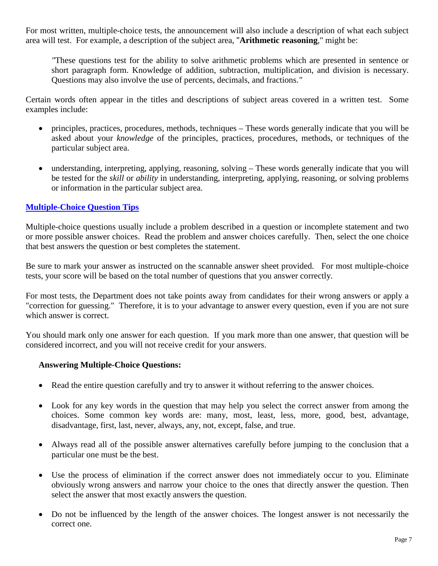For most written, multiple-choice tests, the announcement will also include a description of what each subject area will test. For example, a description of the subject area, "**Arithmetic reasoning**," might be:

*"*These questions test for the ability to solve arithmetic problems which are presented in sentence or short paragraph form. Knowledge of addition, subtraction, multiplication, and division is necessary. Questions may also involve the use of percents, decimals, and fractions.*"*

Certain words often appear in the titles and descriptions of subject areas covered in a written test. Some examples include:

- principles, practices, procedures, methods, techniques These words generally indicate that you will be asked about your *knowledge* of the principles, practices, procedures, methods, or techniques of the particular subject area.
- understanding, interpreting, applying, reasoning, solving These words generally indicate that you will be tested for the *skill* or *ability* in understanding, interpreting, applying, reasoning, or solving problems or information in the particular subject area.

#### <span id="page-6-0"></span>**[Multiple-Choice Question Tips](#page-2-0)**

Multiple-choice questions usually include a problem described in a question or incomplete statement and two or more possible answer choices. Read the problem and answer choices carefully. Then, select the one choice that best answers the question or best completes the statement.

Be sure to mark your answer as instructed on the scannable answer sheet provided. For most multiple-choice tests, your score will be based on the total number of questions that you answer correctly.

For most tests, the Department does not take points away from candidates for their wrong answers or apply a "correction for guessing." Therefore, it is to your advantage to answer every question, even if you are not sure which answer is correct.

You should mark only one answer for each question. If you mark more than one answer, that question will be considered incorrect, and you will not receive credit for your answers.

#### **Answering Multiple-Choice Questions:**

- Read the entire question carefully and try to answer it without referring to the answer choices.
- Look for any key words in the question that may help you select the correct answer from among the choices. Some common key words are: many, most, least, less, more, good, best, advantage, disadvantage, first, last, never, always, any, not, except, false, and true.
- Always read all of the possible answer alternatives carefully before jumping to the conclusion that a particular one must be the best.
- Use the process of elimination if the correct answer does not immediately occur to you. Eliminate obviously wrong answers and narrow your choice to the ones that directly answer the question. Then select the answer that most exactly answers the question.
- Do not be influenced by the length of the answer choices. The longest answer is not necessarily the correct one.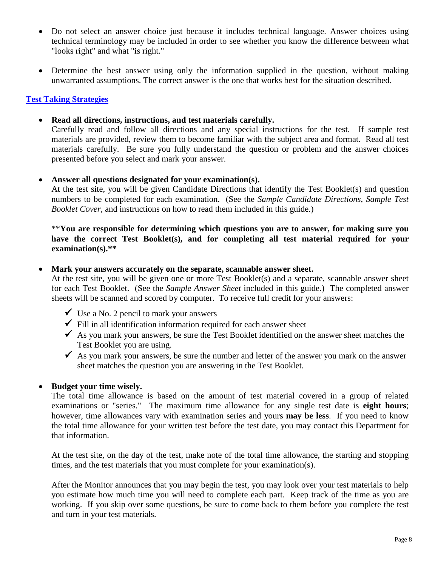- Do not select an answer choice just because it includes technical language. Answer choices using technical terminology may be included in order to see whether you know the difference between what "looks right" and what "is right."
- Determine the best answer using only the information supplied in the question, without making unwarranted assumptions. The correct answer is the one that works best for the situation described.

#### <span id="page-7-0"></span>**[Test Taking Strategies](#page-2-0)**

• **Read all directions, instructions, and test materials carefully.**

Carefully read and follow all directions and any special instructions for the test. If sample test materials are provided, review them to become familiar with the subject area and format. Read all test materials carefully. Be sure you fully understand the question or problem and the answer choices presented before you select and mark your answer.

#### • **Answer all questions designated for your examination(s).**

At the test site, you will be given Candidate Directions that identify the Test Booklet(s) and question numbers to be completed for each examination. (See the *Sample Candidate Directions*, *Sample Test Booklet Cover*, and instructions on how to read them included in this guide.)

\*\***You are responsible for determining which questions you are to answer, for making sure you have the correct Test Booklet(s), and for completing all test material required for your examination(s).\*\***

#### • **Mark your answers accurately on the separate, scannable answer sheet.**

At the test site, you will be given one or more Test Booklet(s) and a separate, scannable answer sheet for each Test Booklet. (See the *Sample Answer Sheet* included in this guide.) The completed answer sheets will be scanned and scored by computer. To receive full credit for your answers:

- $\checkmark$  Use a No. 2 pencil to mark your answers
- $\checkmark$  Fill in all identification information required for each answer sheet
- $\checkmark$  As you mark your answers, be sure the Test Booklet identified on the answer sheet matches the Test Booklet you are using.
- $\checkmark$  As you mark your answers, be sure the number and letter of the answer you mark on the answer sheet matches the question you are answering in the Test Booklet.

#### • **Budget your time wisely.**

The total time allowance is based on the amount of test material covered in a group of related examinations or "series." The maximum time allowance for any single test date is **eight hours**; however, time allowances vary with examination series and yours **may be less**. If you need to know the total time allowance for your written test before the test date, you may contact this Department for that information.

At the test site, on the day of the test, make note of the total time allowance, the starting and stopping times, and the test materials that you must complete for your examination(s).

After the Monitor announces that you may begin the test, you may look over your test materials to help you estimate how much time you will need to complete each part. Keep track of the time as you are working. If you skip over some questions, be sure to come back to them before you complete the test and turn in your test materials.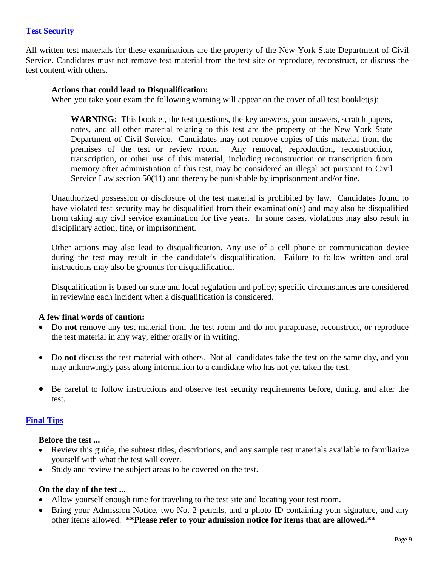#### <span id="page-8-0"></span>**[Test Security](#page-2-0)**

All written test materials for these examinations are the property of the New York State Department of Civil Service. Candidates must not remove test material from the test site or reproduce, reconstruct, or discuss the test content with others.

#### **Actions that could lead to Disqualification:**

When you take your exam the following warning will appear on the cover of all test booklet(s):

**WARNING:** This booklet, the test questions, the key answers, your answers, scratch papers, notes, and all other material relating to this test are the property of the New York State Department of Civil Service. Candidates may not remove copies of this material from the premises of the test or review room. Any removal, reproduction, reconstruction, transcription, or other use of this material, including reconstruction or transcription from memory after administration of this test, may be considered an illegal act pursuant to Civil Service Law section 50(11) and thereby be punishable by imprisonment and/or fine.

Unauthorized possession or disclosure of the test material is prohibited by law. Candidates found to have violated test security may be disqualified from their examination(s) and may also be disqualified from taking any civil service examination for five years. In some cases, violations may also result in disciplinary action, fine, or imprisonment.

Other actions may also lead to disqualification. Any use of a cell phone or communication device during the test may result in the candidate's disqualification. Failure to follow written and oral instructions may also be grounds for disqualification.

Disqualification is based on state and local regulation and policy; specific circumstances are considered in reviewing each incident when a disqualification is considered.

#### **A few final words of caution:**

- Do **not** remove any test material from the test room and do not paraphrase, reconstruct, or reproduce the test material in any way, either orally or in writing.
- Do **not** discuss the test material with others. Not all candidates take the test on the same day, and you may unknowingly pass along information to a candidate who has not yet taken the test.
- Be careful to follow instructions and observe test security requirements before, during, and after the test.

#### <span id="page-8-1"></span>**[Final Tips](#page-2-0)**

#### **Before the test ...**

- Review this guide, the subtest titles, descriptions, and any sample test materials available to familiarize yourself with what the test will cover.
- Study and review the subject areas to be covered on the test.

#### **On the day of the test ...**

- Allow yourself enough time for traveling to the test site and locating your test room.
- Bring your Admission Notice, two No. 2 pencils, and a photo ID containing your signature, and any other items allowed. **\*\*Please refer to your admission notice for items that are allowed.\*\***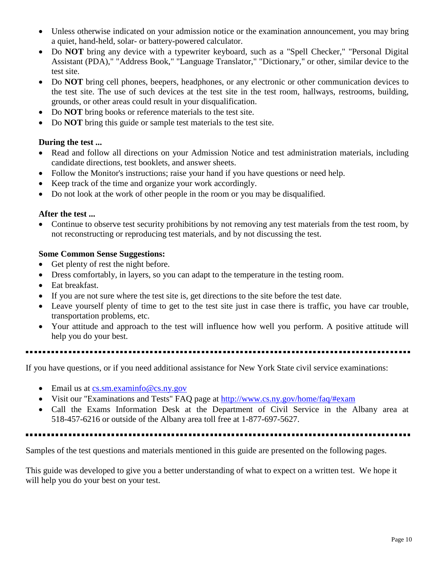- Unless otherwise indicated on your admission notice or the examination announcement, you may bring a quiet, hand-held, solar- or battery-powered calculator.
- Do **NOT** bring any device with a typewriter keyboard, such as a "Spell Checker," "Personal Digital Assistant (PDA)," "Address Book," "Language Translator," "Dictionary," or other, similar device to the test site.
- Do **NOT** bring cell phones, beepers, headphones, or any electronic or other communication devices to the test site. The use of such devices at the test site in the test room, hallways, restrooms, building, grounds, or other areas could result in your disqualification.
- Do **NOT** bring books or reference materials to the test site.
- Do **NOT** bring this guide or sample test materials to the test site.

#### **During the test ...**

- Read and follow all directions on your Admission Notice and test administration materials, including candidate directions, test booklets, and answer sheets.
- Follow the Monitor's instructions; raise your hand if you have questions or need help.
- Keep track of the time and organize your work accordingly.
- Do not look at the work of other people in the room or you may be disqualified.

#### **After the test ...**

• Continue to observe test security prohibitions by not removing any test materials from the test room, by not reconstructing or reproducing test materials, and by not discussing the test.

#### **Some Common Sense Suggestions:**

- Get plenty of rest the night before.
- Dress comfortably, in layers, so you can adapt to the temperature in the testing room.
- Eat breakfast.
- If you are not sure where the test site is, get directions to the site before the test date.
- Leave yourself plenty of time to get to the test site just in case there is traffic, you have car trouble, transportation problems, etc.
- Your attitude and approach to the test will influence how well you perform. A positive attitude will help you do your best.
- 

If you have questions, or if you need additional assistance for New York State civil service examinations:

- Email us at [cs.sm.examinfo@cs.ny.gov](mailto:cs.sm.examinfo@cs.ny.gov)
- Visit our "Examinations and Tests" FAQ page at<http://www.cs.ny.gov/home/faq/#exam>
- Call the Exams Information Desk at the Department of Civil Service in the Albany area at 518-457-6216 or outside of the Albany area toll free at 1-877-697-5627.

Samples of the test questions and materials mentioned in this guide are presented on the following pages.

This guide was developed to give you a better understanding of what to expect on a written test. We hope it will help you do your best on your test.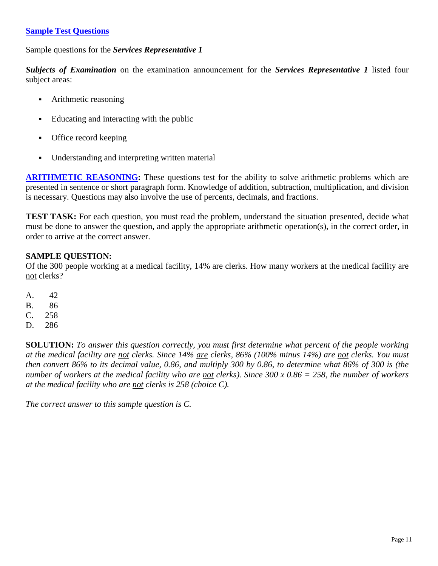#### <span id="page-10-0"></span>**[Sample Test Questions](#page-2-0)**

Sample questions for the *Services Representative 1*

*Subjects of Examination* on the examination announcement for the *Services Representative 1* listed four subject areas:

- Arithmetic reasoning
- Educating and interacting with the public
- Office record keeping
- Understanding and interpreting written material

<span id="page-10-1"></span>**[ARITHMETIC REASONING:](#page-2-0)** These questions test for the ability to solve arithmetic problems which are presented in sentence or short paragraph form. Knowledge of addition, subtraction, multiplication, and division is necessary. Questions may also involve the use of percents, decimals, and fractions.

**TEST TASK:** For each question, you must read the problem, understand the situation presented, decide what must be done to answer the question, and apply the appropriate arithmetic operation(s), in the correct order, in order to arrive at the correct answer.

#### **SAMPLE QUESTION:**

Of the 300 people working at a medical facility, 14% are clerks. How many workers at the medical facility are not clerks?

- A. 42
- B. 86
- C. 258
- D. 286

**SOLUTION:** *To answer this question correctly, you must first determine what percent of the people working at the medical facility are not clerks. Since 14% are clerks, 86% (100% minus 14%) are not clerks. You must then convert 86% to its decimal value, 0.86, and multiply 300 by 0.86, to determine what 86% of 300 is (the number of workers at the medical facility who are not clerks). Since 300 x 0.86 = 258, the number of workers at the medical facility who are not clerks is 258 (choice C).*

*The correct answer to this sample question is C.*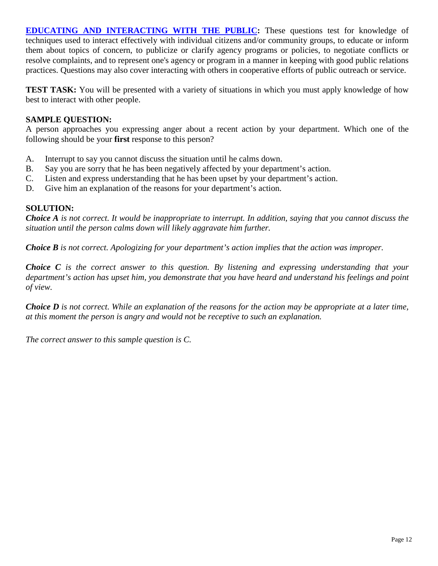<span id="page-11-0"></span>**[EDUCATING AND INTERACTING WITH THE PUBLIC:](#page-2-0)** These questions test for knowledge of techniques used to interact effectively with individual citizens and/or community groups, to educate or inform them about topics of concern, to publicize or clarify agency programs or policies, to negotiate conflicts or resolve complaints, and to represent one's agency or program in a manner in keeping with good public relations practices. Questions may also cover interacting with others in cooperative efforts of public outreach or service.

**TEST TASK:** You will be presented with a variety of situations in which you must apply knowledge of how best to interact with other people.

#### **SAMPLE QUESTION:**

A person approaches you expressing anger about a recent action by your department. Which one of the following should be your **first** response to this person?

- A. Interrupt to say you cannot discuss the situation until he calms down.
- B. Say you are sorry that he has been negatively affected by your department's action.
- C. Listen and express understanding that he has been upset by your department's action.
- D. Give him an explanation of the reasons for your department's action.

#### **SOLUTION:**

*Choice A is not correct. It would be inappropriate to interrupt. In addition, saying that you cannot discuss the situation until the person calms down will likely aggravate him further.* 

*Choice B is not correct. Apologizing for your department's action implies that the action was improper.* 

*Choice C is the correct answer to this question. By listening and expressing understanding that your department's action has upset him, you demonstrate that you have heard and understand his feelings and point of view.* 

*Choice D is not correct. While an explanation of the reasons for the action may be appropriate at a later time, at this moment the person is angry and would not be receptive to such an explanation.*

*The correct answer to this sample question is C.*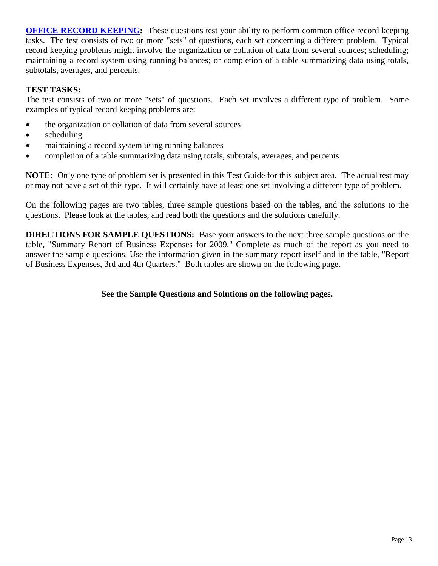<span id="page-12-0"></span>**[OFFICE RECORD KEEPING:](#page-2-0)** These questions test your ability to perform common office record keeping tasks. The test consists of two or more "sets" of questions, each set concerning a different problem. Typical record keeping problems might involve the organization or collation of data from several sources; scheduling; maintaining a record system using running balances; or completion of a table summarizing data using totals, subtotals, averages, and percents.

#### **TEST TASKS:**

The test consists of two or more "sets" of questions. Each set involves a different type of problem. Some examples of typical record keeping problems are:

- the organization or collation of data from several sources
- scheduling
- maintaining a record system using running balances
- completion of a table summarizing data using totals, subtotals, averages, and percents

**NOTE:** Only one type of problem set is presented in this Test Guide for this subject area. The actual test may or may not have a set of this type. It will certainly have at least one set involving a different type of problem.

On the following pages are two tables, three sample questions based on the tables, and the solutions to the questions. Please look at the tables, and read both the questions and the solutions carefully.

**DIRECTIONS FOR SAMPLE QUESTIONS:** Base your answers to the next three sample questions on the table, "Summary Report of Business Expenses for 2009." Complete as much of the report as you need to answer the sample questions. Use the information given in the summary report itself and in the table, "Report of Business Expenses, 3rd and 4th Quarters." Both tables are shown on the following page.

**See the Sample Questions and Solutions on the following pages.**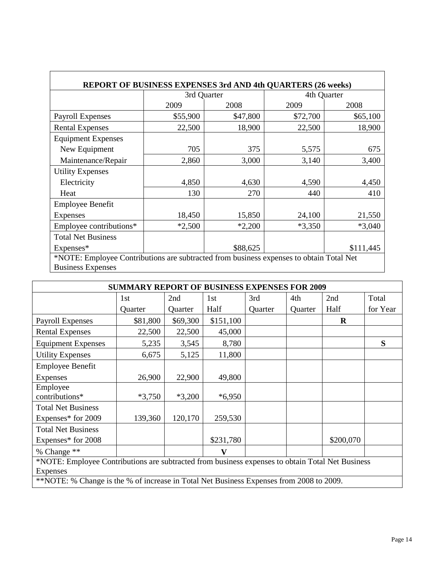|                           | 3rd Quarter |          | 4th Quarter |           |  |
|---------------------------|-------------|----------|-------------|-----------|--|
|                           | 2009        | 2008     | 2009        | 2008      |  |
| <b>Payroll Expenses</b>   | \$55,900    | \$47,800 | \$72,700    | \$65,100  |  |
| <b>Rental Expenses</b>    | 22,500      | 18,900   | 22,500      | 18,900    |  |
| <b>Equipment Expenses</b> |             |          |             |           |  |
| New Equipment             | 705         | 375      | 5,575       | 675       |  |
| Maintenance/Repair        | 2,860       | 3,000    | 3,140       | 3,400     |  |
| <b>Utility Expenses</b>   |             |          |             |           |  |
| Electricity               | 4,850       | 4,630    | 4,590       | 4,450     |  |
| Heat                      | 130         | 270      | 440         | 410       |  |
| <b>Employee Benefit</b>   |             |          |             |           |  |
| <b>Expenses</b>           | 18,450      | 15,850   | 24,100      | 21,550    |  |
| Employee contributions*   | $*2,500$    | $*2,200$ | $*3,350$    | $*3,040$  |  |
| <b>Total Net Business</b> |             |          |             |           |  |
| Expenses*                 |             | \$88,625 |             | \$111,445 |  |

| <b>SUMMARY REPORT OF BUSINESS EXPENSES FOR 2009</b>                                              |          |          |           |         |         |             |          |  |  |  |
|--------------------------------------------------------------------------------------------------|----------|----------|-----------|---------|---------|-------------|----------|--|--|--|
|                                                                                                  | 1st      | 2nd      | 1st       | 3rd     | 4th     | 2nd         | Total    |  |  |  |
|                                                                                                  | Quarter  | Quarter  | Half      | Quarter | Quarter | Half        | for Year |  |  |  |
| Payroll Expenses                                                                                 | \$81,800 | \$69,300 | \$151,100 |         |         | $\mathbf R$ |          |  |  |  |
| <b>Rental Expenses</b>                                                                           | 22,500   | 22,500   | 45,000    |         |         |             |          |  |  |  |
| <b>Equipment Expenses</b>                                                                        | 5,235    | 3,545    | 8,780     |         |         |             | S        |  |  |  |
| <b>Utility Expenses</b>                                                                          | 6,675    | 5,125    | 11,800    |         |         |             |          |  |  |  |
| <b>Employee Benefit</b>                                                                          |          |          |           |         |         |             |          |  |  |  |
| <b>Expenses</b>                                                                                  | 26,900   | 22,900   | 49,800    |         |         |             |          |  |  |  |
| Employee<br>contributions*                                                                       | $*3,750$ | $*3,200$ | $*6,950$  |         |         |             |          |  |  |  |
| <b>Total Net Business</b><br>Expenses* for 2009                                                  | 139,360  | 120,170  | 259,530   |         |         |             |          |  |  |  |
| <b>Total Net Business</b>                                                                        |          |          |           |         |         |             |          |  |  |  |
| Expenses* for 2008                                                                               |          |          | \$231,780 |         |         | \$200,070   |          |  |  |  |
| % Change **                                                                                      |          |          |           |         |         |             |          |  |  |  |
| *NOTE: Employee Contributions are subtracted from business expenses to obtain Total Net Business |          |          |           |         |         |             |          |  |  |  |
| Expenses                                                                                         |          |          |           |         |         |             |          |  |  |  |
| **NOTE: % Change is the % of increase in Total Net Business Expenses from 2008 to 2009.          |          |          |           |         |         |             |          |  |  |  |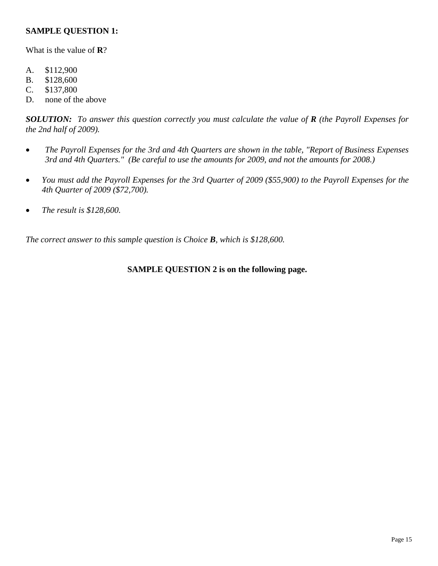#### **SAMPLE QUESTION 1:**

What is the value of **R**?

- A. \$112,900
- B. \$128,600
- C. \$137,800
- D. none of the above

*SOLUTION: To answer this question correctly you must calculate the value of R (the Payroll Expenses for the 2nd half of 2009).* 

- *The Payroll Expenses for the 3rd and 4th Quarters are shown in the table, "Report of Business Expenses 3rd and 4th Quarters." (Be careful to use the amounts for 2009, and not the amounts for 2008.)*
- *You must add the Payroll Expenses for the 3rd Quarter of 2009 (\$55,900) to the Payroll Expenses for the 4th Quarter of 2009 (\$72,700).*
- *The result is \$128,600.*

*The correct answer to this sample question is Choice B, which is \$128,600.*

### **SAMPLE QUESTION 2 is on the following page.**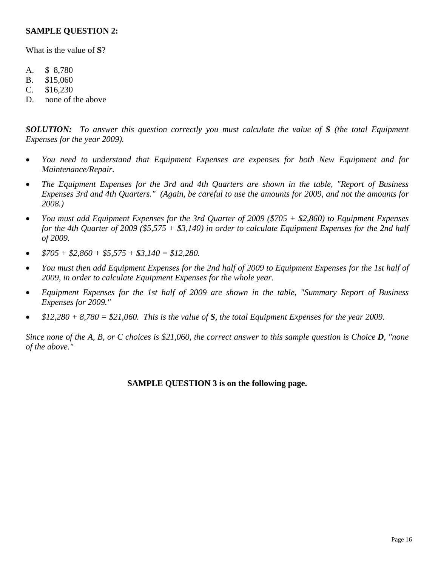#### **SAMPLE QUESTION 2:**

What is the value of **S**?

- A. \$ 8,780
- B. \$15,060
- C. \$16,230
- D. none of the above

*SOLUTION: To answer this question correctly you must calculate the value of S (the total Equipment Expenses for the year 2009).* 

- *You need to understand that Equipment Expenses are expenses for both New Equipment and for Maintenance/Repair.*
- *The Equipment Expenses for the 3rd and 4th Quarters are shown in the table, "Report of Business Expenses 3rd and 4th Quarters." (Again, be careful to use the amounts for 2009, and not the amounts for 2008.)*
- *You must add Equipment Expenses for the 3rd Quarter of 2009 (\$705 + \$2,860) to Equipment Expenses for the 4th Quarter of 2009 (\$5,575 + \$3,140) in order to calculate Equipment Expenses for the 2nd half of 2009.*
- $\bullet$   $\frac{$705 + $2,860 + $5,575 + $3,140 = $12,280.}$
- *You must then add Equipment Expenses for the 2nd half of 2009 to Equipment Expenses for the 1st half of 2009, in order to calculate Equipment Expenses for the whole year.*
- *Equipment Expenses for the 1st half of 2009 are shown in the table, "Summary Report of Business Expenses for 2009."*
- *\$12,280 + 8,780 = \$21,060. This is the value of S, the total Equipment Expenses for the year 2009.*

*Since none of the A, B, or C choices is \$21,060, the correct answer to this sample question is Choice D, "none of the above."*

#### **SAMPLE QUESTION 3 is on the following page.**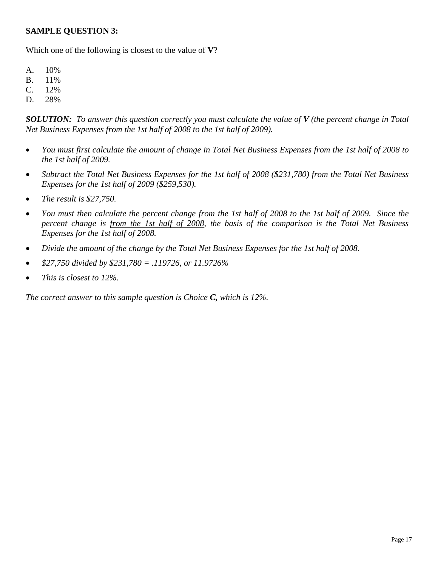#### **SAMPLE QUESTION 3:**

Which one of the following is closest to the value of **V**?

- A. 10%
- B. 11%
- C. 12%
- D. 28%

*SOLUTION: To answer this question correctly you must calculate the value of V (the percent change in Total Net Business Expenses from the 1st half of 2008 to the 1st half of 2009).*

- *You must first calculate the amount of change in Total Net Business Expenses from the 1st half of 2008 to the 1st half of 2009.*
- *Subtract the Total Net Business Expenses for the 1st half of 2008 (\$231,780) from the Total Net Business Expenses for the 1st half of 2009 (\$259,530).*
- *The result is \$27,750.*
- *You must then calculate the percent change from the 1st half of 2008 to the 1st half of 2009. Since the percent change is from the 1st half of 2008, the basis of the comparison is the Total Net Business Expenses for the 1st half of 2008.*
- *Divide the amount of the change by the Total Net Business Expenses for the 1st half of 2008.*
- *\$27,750 divided by \$231,780 = .119726, or 11.9726%*
- *This is closest to 12%.*

*The correct answer to this sample question is Choice C, which is 12%.*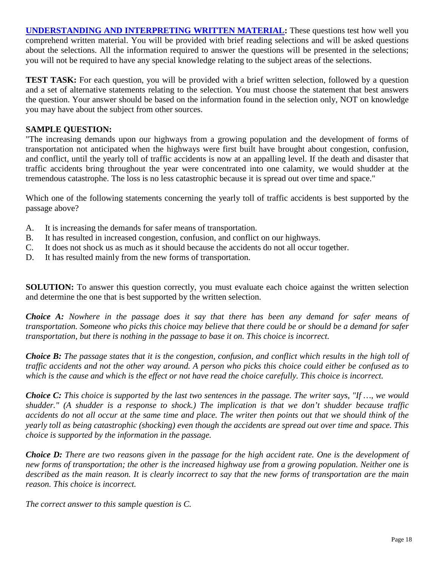<span id="page-17-0"></span>**[UNDERSTANDING AND INTERPRETING WRITTEN MATERIAL:](#page-2-0)** These questions test how well you comprehend written material. You will be provided with brief reading selections and will be asked questions about the selections. All the information required to answer the questions will be presented in the selections; you will not be required to have any special knowledge relating to the subject areas of the selections.

**TEST TASK:** For each question, you will be provided with a brief written selection, followed by a question and a set of alternative statements relating to the selection. You must choose the statement that best answers the question. Your answer should be based on the information found in the selection only, NOT on knowledge you may have about the subject from other sources.

#### **SAMPLE QUESTION:**

"The increasing demands upon our highways from a growing population and the development of forms of transportation not anticipated when the highways were first built have brought about congestion, confusion, and conflict, until the yearly toll of traffic accidents is now at an appalling level. If the death and disaster that traffic accidents bring throughout the year were concentrated into one calamity, we would shudder at the tremendous catastrophe. The loss is no less catastrophic because it is spread out over time and space."

Which one of the following statements concerning the yearly toll of traffic accidents is best supported by the passage above?

- A. It is increasing the demands for safer means of transportation.
- B. It has resulted in increased congestion, confusion, and conflict on our highways.
- C. It does not shock us as much as it should because the accidents do not all occur together.
- D. It has resulted mainly from the new forms of transportation.

**SOLUTION:** To answer this question correctly, you must evaluate each choice against the written selection and determine the one that is best supported by the written selection.

*Choice A: Nowhere in the passage does it say that there has been any demand for safer means of transportation. Someone who picks this choice may believe that there could be or should be a demand for safer transportation, but there is nothing in the passage to base it on. This choice is incorrect.* 

*Choice B: The passage states that it is the congestion, confusion, and conflict which results in the high toll of traffic accidents and not the other way around. A person who picks this choice could either be confused as to which is the cause and which is the effect or not have read the choice carefully. This choice is incorrect.* 

*Choice C: This choice is supported by the last two sentences in the passage. The writer says, "If …, we would shudder." (A shudder is a response to shock.) The implication is that we don't shudder because traffic accidents do not all occur at the same time and place. The writer then points out that we should think of the yearly toll as being catastrophic (shocking) even though the accidents are spread out over time and space. This choice is supported by the information in the passage.* 

*Choice D: There are two reasons given in the passage for the high accident rate. One is the development of new forms of transportation; the other is the increased highway use from a growing population. Neither one is described as the main reason. It is clearly incorrect to say that the new forms of transportation are the main reason. This choice is incorrect.*

*The correct answer to this sample question is C.*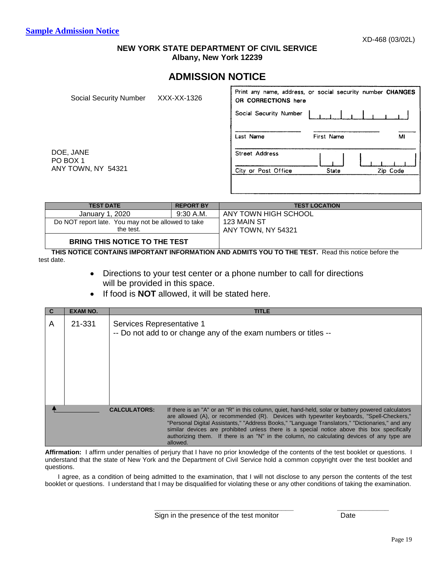#### **NEW YORK STATE DEPARTMENT OF CIVIL SERVICE Albany, New York 12239**

## **ADMISSION NOTICE**

<span id="page-18-0"></span>

| Social Security Number | XXX-XX-1326 | Print any name, address, or social security number CHANGES<br>OR CORRECTIONS here |            |          |
|------------------------|-------------|-----------------------------------------------------------------------------------|------------|----------|
|                        |             | Social Security Number                                                            |            |          |
|                        |             | Last Name                                                                         | First Name | м        |
| DOE, JANE<br>PO BOX 1  |             | Street Address                                                                    |            |          |
| ANY TOWN, NY 54321     |             | City or Post Office                                                               | State      | Zip Code |
|                        |             |                                                                                   |            |          |

| <b>TEST DATE</b>                                   | <b>REPORT BY</b> | <b>TEST LOCATION</b> |
|----------------------------------------------------|------------------|----------------------|
| January 1, 2020                                    | $9:30$ A.M.      | ANY TOWN HIGH SCHOOL |
| Do NOT report late. You may not be allowed to take |                  | 123 MAIN ST          |
| the test.                                          |                  | ANY TOWN, NY 54321   |
| <b>BRING THIS NOTICE TO THE TEST</b>               |                  |                      |

**THIS NOTICE CONTAINS IMPORTANT INFORMATION AND ADMITS YOU TO THE TEST.** Read this notice before the test date.

- Directions to your test center or a phone number to call for directions will be provided in this space.
- If food is **NOT** allowed, it will be stated here.

|   | <b>EXAM NO.</b> |                           | <b>TITLE</b>                                                                                                                                                                                                                                                                                                                                                                                                                                                                                                 |
|---|-----------------|---------------------------|--------------------------------------------------------------------------------------------------------------------------------------------------------------------------------------------------------------------------------------------------------------------------------------------------------------------------------------------------------------------------------------------------------------------------------------------------------------------------------------------------------------|
| A | 21-331          | Services Representative 1 | -- Do not add to or change any of the exam numbers or titles --                                                                                                                                                                                                                                                                                                                                                                                                                                              |
|   |                 | <b>CALCULATORS:</b>       | If there is an "A" or an "R" in this column, quiet, hand-held, solar or battery powered calculators<br>are allowed (A), or recommended (R). Devices with typewriter keyboards, "Spell-Checkers,"<br>"Personal Digital Assistants," "Address Books," "Language Translators," "Dictionaries," and any<br>similar devices are prohibited unless there is a special notice above this box specifically<br>authorizing them. If there is an "N" in the column, no calculating devices of any type are<br>allowed. |

**Affirmation:** I affirm under penalties of perjury that I have no prior knowledge of the contents of the test booklet or questions. I understand that the state of New York and the Department of Civil Service hold a common copyright over the test booklet and questions.

I agree, as a condition of being admitted to the examination, that I will not disclose to any person the contents of the test booklet or questions. I understand that I may be disqualified for violating these or any other conditions of taking the examination.

**\_\_\_\_\_\_\_\_\_\_\_\_\_\_\_\_\_\_\_\_\_\_\_\_\_\_\_\_\_\_\_\_\_\_\_ \_\_\_\_\_\_\_\_\_\_\_\_\_**

Sign in the presence of the test monitor Theorem Cate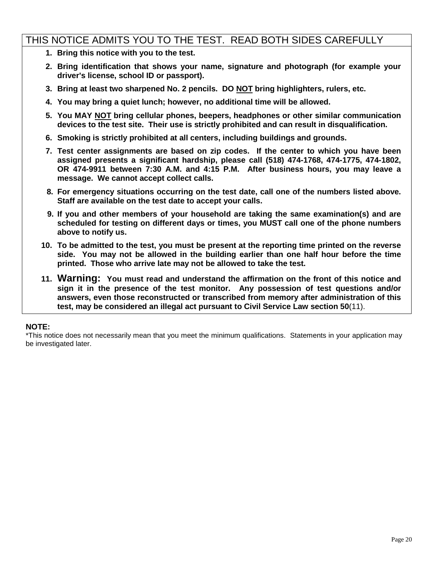## THIS NOTICE ADMITS YOU TO THE TEST. READ BOTH SIDES CAREFULLY

- **1. Bring this notice with you to the test.**
- **2. Bring identification that shows your name, signature and photograph (for example your driver's license, school ID or passport).**
- **3. Bring at least two sharpened No. 2 pencils. DO NOT bring highlighters, rulers, etc.**
- **4. You may bring a quiet lunch; however, no additional time will be allowed.**
- **5. You MAY NOT bring cellular phones, beepers, headphones or other similar communication devices to the test site. Their use is strictly prohibited and can result in disqualification.**
- **6. Smoking is strictly prohibited at all centers, including buildings and grounds.**
- **7. Test center assignments are based on zip codes. If the center to which you have been assigned presents a significant hardship, please call (518) 474-1768, 474-1775, 474-1802, OR 474-9911 between 7:30 A.M. and 4:15 P.M. After business hours, you may leave a message. We cannot accept collect calls.**
- **8. For emergency situations occurring on the test date, call one of the numbers listed above. Staff are available on the test date to accept your calls.**
- **9. If you and other members of your household are taking the same examination(s) and are scheduled for testing on different days or times, you MUST call one of the phone numbers above to notify us.**
- **10. To be admitted to the test, you must be present at the reporting time printed on the reverse side. You may not be allowed in the building earlier than one half hour before the time printed. Those who arrive late may not be allowed to take the test.**
- **11. Warning: You must read and understand the affirmation on the front of this notice and sign it in the presence of the test monitor. Any possession of test questions and/or answers, even those reconstructed or transcribed from memory after administration of this test, may be considered an illegal act pursuant to Civil Service Law section 50**(11).

#### **NOTE:**

\*This notice does not necessarily mean that you meet the minimum qualifications. Statements in your application may be investigated later.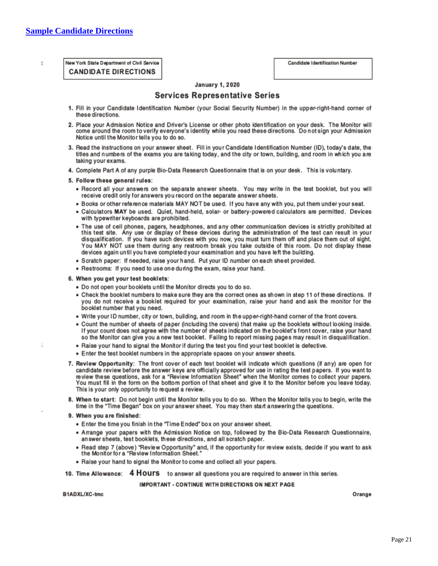<span id="page-20-0"></span>J.

New York State Department of Civil Service **CANDIDATE DIRECTIONS** 

#### **January 1, 2020**

#### **Services Representative Series**

- 1. Fill in your Candidate Identification Number (your Social Security Number) in the upper-right-hand corner of these directions.
- 2. Place your Admission Notice and Driver's License or other photo identification on your desk. The Monitor will come around the room to verify everyone's identity while you read these directions. Do not sign your Admission Notice until the Monitor tells you to do so.
- 3. Read the instructions on your answer sheet. Fill in your Candidate Identification Number (ID), today's date, the titles and numbers of the exams you are taking today, and the city or town, building, and room in which you are taking your exams.
- 4. Complete Part A of any purple Bio-Data Research Questionnaire that is on your desk. This is voluntary.
- 5. Follow these general rules:
	- . Record all your answers on the separate answer sheets. You may write in the test booklet, but you will receive credit only for answers you record on the separate answer sheets.
	- . Books or other reference materials MAY NOT be used. If you have any with you, put them under your seat.
	- · Calculators MAY be used. Quiet, hand-held, solar- or battery-powered calculators are permitted. Devices with typewriter keyboards are prohibited.
	- . The use of cell phones, pagers, headphones, and any other communication devices is strictly prohibited at this test site. Any use or display of these devices during the administration of the test can result in your disqualification. If you have such devices with you now, you must turn them off and place them out of sight. You MAY NOT use them during any restroom break you take outside of this room. Do not display these devices again until you have completed your examination and you have left the building.
	- · Scratch paper: If needed, raise your hand. Put your ID number on each sheet provided.
	- . Restrooms: If you need to use one during the exam, raise your hand.

#### 6. When you get your test booklets:

- . Do not open your booklets until the Monitor directs you to do so.
- . Check the booklet numbers to make sure they are the correct ones as shown in step 11 of these directions. If you do not receive a booklet required for your examination, raise your hand and ask the monitor for the booklet number that you need.
- Write your ID number, city or town, building, and room in the upper-right-hand corner of the front covers.
- . Count the number of sheets of paper (including the covers) that make up the booklets without looking inside. If your count does not agree with the number of sheets indicated on the booklet's front cover, raise your hand so the Monitor can give you a new test booklet. Failing to report missing pages may result in disqualification.
- . Raise your hand to signal the Monitor if during the test you find your test booklet is defective.
- Enter the test booklet numbers in the appropriate spaces on your answer sheets.
- 7. Review Opportunity: The front cover of each test booklet will indicate which questions (if any) are open for candidate review before the answer keys are officially approved for use in rating the test papers. If you want to review these questions, ask for a "Review Information Sheet" when the Monitor comes to collect your papers. You must fill in the form on the bottom portion of that sheet and give it to the Monitor before you leave today. This is your only opportunity to request a review.
- 8. When to start: Do not begin until the Monitor tells you to do so. When the Monitor tells you to begin, write the time in the "Time Began" box on your answer sheet. You may then start answering the questions.
- 9. When you are finished:
	- . Enter the time you finish in the "Time Ended" box on your answer sheet.
	- . Arrange your papers with the Admission Notice on top, followed by the Bio-Data Research Questionnaire, answer sheets, test booklets, these directions, and all scratch paper.
	- . Read step 7 (above) "Review Opportunity" and, if the opportunity for review exists, decide if you want to ask the Monitor for a "Review Information Sheet."
	- . Raise your hand to signal the Monitor to come and collect all your papers.
- 10. Time Allowance: 4 HOUI'S to answer all questions you are required to answer in this series.

IMPORTANT - CONTINUE WITH DIRECTIONS ON NEXT PAGE

B1ADXL/XC-tmc

Orange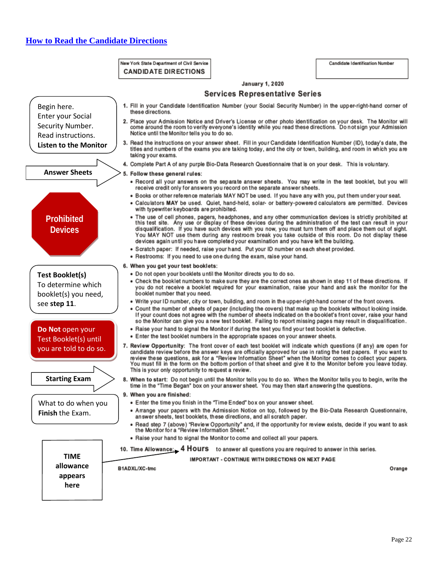## <span id="page-21-0"></span>**[How to Read the Candidate Directions](#page-2-0)**

#### New York State Department of Civil Service CANDIDATE DIRECTIONS

Candidate Identification Number

|                                            | <b>UANDIDATE DIRECTIONS</b>                                                                                                                                           |                                                                                                                                                                                                                                                                                                                                                                                                                                                                                                                                              |        |
|--------------------------------------------|-----------------------------------------------------------------------------------------------------------------------------------------------------------------------|----------------------------------------------------------------------------------------------------------------------------------------------------------------------------------------------------------------------------------------------------------------------------------------------------------------------------------------------------------------------------------------------------------------------------------------------------------------------------------------------------------------------------------------------|--------|
|                                            |                                                                                                                                                                       | <b>January 1, 2020</b>                                                                                                                                                                                                                                                                                                                                                                                                                                                                                                                       |        |
|                                            |                                                                                                                                                                       | <b>Services Representative Series</b>                                                                                                                                                                                                                                                                                                                                                                                                                                                                                                        |        |
| Begin here.                                | 1. Fill in your Candidate Identification Number (your Social Security Number) in the upper-right-hand corner of                                                       |                                                                                                                                                                                                                                                                                                                                                                                                                                                                                                                                              |        |
| <b>Enter your Social</b>                   | these directions.                                                                                                                                                     |                                                                                                                                                                                                                                                                                                                                                                                                                                                                                                                                              |        |
| Security Number.                           | 2. Place your Admission Notice and Driver's License or other photo identification on your desk. The Monitor will                                                      | come around the room to verify everyone's identity while you read these directions. Do not sign your Admission                                                                                                                                                                                                                                                                                                                                                                                                                               |        |
| Read instructions.                         | Notice until the Monitor tells you to do so.                                                                                                                          |                                                                                                                                                                                                                                                                                                                                                                                                                                                                                                                                              |        |
| <b>Listen to the Monitor</b>               | 3. Read the instructions on your answer sheet. Fill in your Candidate Identification Number (ID), today's date, the<br>taking your exams.                             | titles and numbers of the exams you are taking today, and the city or town, building, and room in which you are                                                                                                                                                                                                                                                                                                                                                                                                                              |        |
|                                            | 4. Complete Part A of any purple Bio-Data Research Questionnaire that is on your desk. This is voluntary.                                                             |                                                                                                                                                                                                                                                                                                                                                                                                                                                                                                                                              |        |
| <b>Answer Sheets</b>                       | 5. Follow these general rules:                                                                                                                                        |                                                                                                                                                                                                                                                                                                                                                                                                                                                                                                                                              |        |
|                                            |                                                                                                                                                                       | . Record all your answers on the separate answer sheets. You may write in the test booklet, but you will<br>receive credit only for answers you record on the separate answer sheets.                                                                                                                                                                                                                                                                                                                                                        |        |
|                                            | with typewriter keyboards are prohibited.                                                                                                                             | . Books or other reference materials MAY NOT be used. If you have any with you, put them under your seat.<br>· Calculators MAY be used. Quiet, hand-held, solar- or battery-powered calculators are permitted. Devices                                                                                                                                                                                                                                                                                                                       |        |
| <b>Prohibited</b><br><b>Devices</b>        |                                                                                                                                                                       | . The use of cell phones, pagers, headphones, and any other communication devices is strictly prohibited at<br>this test site. Any use or display of these devices during the administration of the test can result in your<br>disqualification. If you have such devices with you now, you must turn them off and place them out of sight.<br>You MAY NOT use them during any restroom break you take outside of this room. Do not display these<br>devices again until you have completed your examination and you have left the building. |        |
|                                            | • Restrooms: If you need to use one during the exam, raise your hand.                                                                                                 | · Scratch paper: If needed, raise your hand. Put your ID number on each sheet provided.                                                                                                                                                                                                                                                                                                                                                                                                                                                      |        |
|                                            | 6. When you get your test booklets:                                                                                                                                   |                                                                                                                                                                                                                                                                                                                                                                                                                                                                                                                                              |        |
| <b>Test Booklet(s)</b>                     | . Do not open your booklets until the Monitor directs you to do so.                                                                                                   | • Check the booklet numbers to make sure they are the correct ones as shown in step 11 of these directions. If                                                                                                                                                                                                                                                                                                                                                                                                                               |        |
| To determine which<br>booklet(s) you need, | booklet number that you need.                                                                                                                                         | you do not receive a booklet required for your examination, raise your hand and ask the monitor for the                                                                                                                                                                                                                                                                                                                                                                                                                                      |        |
| see step 11.                               |                                                                                                                                                                       | . Write your ID number, city or town, building, and room in the upper-right-hand corner of the front covers.<br>• Count the number of sheets of paper (including the covers) that make up the booklets without looking inside.<br>If your count does not agree with the number of sheets indicated on the booklet's front cover, raise your hand<br>so the Monitor can give you a new test booklet. Failing to report missing pages may result in disqualification.                                                                          |        |
| Do Not open your                           |                                                                                                                                                                       | . Raise your hand to signal the Monitor if during the test you find your test booklet is defective.                                                                                                                                                                                                                                                                                                                                                                                                                                          |        |
| Test Booklet(s) until                      |                                                                                                                                                                       | • Enter the test booklet numbers in the appropriate spaces on your answer sheets.                                                                                                                                                                                                                                                                                                                                                                                                                                                            |        |
| you are told to do so.                     | 7. Review Opportunity: The front cover of each test booklet will indicate which questions (if any) are open for<br>This is your only opportunity to request a review. | candidate review before the answer keys are officially approved for use in rating the test papers. If you want to<br>review these questions, ask for a "Review Information Sheet" when the Monitor comes to collect your papers.<br>You must fill in the form on the bottom portion of that sheet and give it to the Monitor before you leave today.                                                                                                                                                                                         |        |
| <b>Starting Exam</b>                       | 8. When to start: Do not begin until the Monitor tells you to do so. When the Monitor tells you to begin, write the                                                   | time in the "Time Began" box on your answer sheet. You may then start answering the questions.                                                                                                                                                                                                                                                                                                                                                                                                                                               |        |
|                                            | 9. When you are finished:                                                                                                                                             |                                                                                                                                                                                                                                                                                                                                                                                                                                                                                                                                              |        |
| What to do when you                        |                                                                                                                                                                       | . Enter the time you finish in the "Time Ended" box on your answer sheet.<br>. Arrange your papers with the Admission Notice on top, followed by the Bio-Data Research Questionnaire,                                                                                                                                                                                                                                                                                                                                                        |        |
| <b>Finish the Exam.</b>                    |                                                                                                                                                                       | answer sheets, test booklets, these directions, and all scratch paper.                                                                                                                                                                                                                                                                                                                                                                                                                                                                       |        |
|                                            |                                                                                                                                                                       | • Read step 7 (above) "Review Opportunity" and, if the opportunity for review exists, decide if you want to ask<br>the Monitor for a "Review Information Sheet."                                                                                                                                                                                                                                                                                                                                                                             |        |
|                                            |                                                                                                                                                                       | . Raise your hand to signal the Monitor to come and collect all your papers.                                                                                                                                                                                                                                                                                                                                                                                                                                                                 |        |
| <b>TIME</b>                                | 10. Time Allowance: 4 HOUI'S to answer all questions you are required to answer in this series.                                                                       |                                                                                                                                                                                                                                                                                                                                                                                                                                                                                                                                              |        |
|                                            |                                                                                                                                                                       | <b>IMPORTANT - CONTINUE WITH DIRECTIONS ON NEXT PAGE</b>                                                                                                                                                                                                                                                                                                                                                                                                                                                                                     |        |
| allowance                                  | B1ADXL/XC-tmc                                                                                                                                                         |                                                                                                                                                                                                                                                                                                                                                                                                                                                                                                                                              | Orange |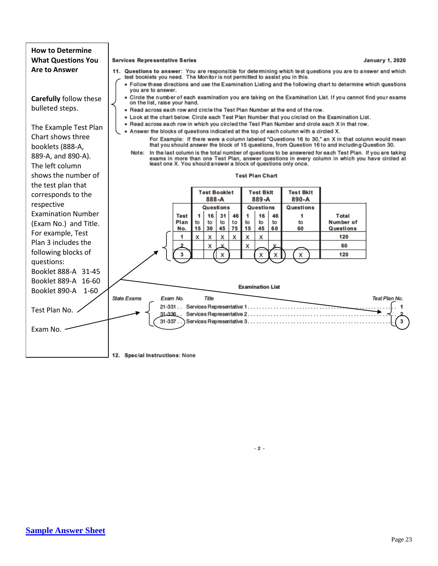

<span id="page-22-0"></span> $-2-$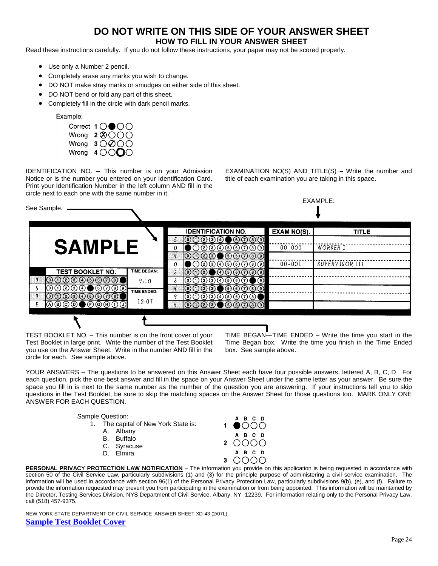## **DO NOT WRITE ON THIS SIDE OF YOUR ANSWER SHEET**

#### **HOW TO FILL IN YOUR ANSWER SHEET**

Read these instructions carefully. If you do not follow these instructions, your paper may not be scored properly.

- Use only a Number 2 pencil.
- Completely erase any marks you wish to change.
- DO NOT make stray marks or smudges on either side of this sheet.
- DO NOT bend or fold any part of this sheet.
- Completely fill in the circle with dark pencil marks.

Example:



IDENTIFICATION NO. – This number is on your Admission Notice or is the number you entered on your Identification Card. Print your Identification Number in the left column AND fill in the circle next to each one with the same number in it.

EXAMINATION  $NO(S)$  AND TITLE(S) – Write the number and title of each examination you are taking in this space.



TEST BOOKLET NO. – This number is on the front cover of your Test Booklet in large print. Write the number of the Test Booklet you use on the Answer Sheet. Write in the number AND fill in the circle for each. See sample above.

TIME BEGAN—TIME ENDED – Write the time you start in the Time Began box. Write the time you finish in the Time Ended box. See sample above.

YOUR ANSWERS – The questions to be answered on this Answer Sheet each have four possible answers, lettered A, B, C, D. For each question, pick the one best answer and fill in the space on your Answer Sheet under the same letter as your answer. Be sure the space you fill in is next to the same number as the number of the question you are answering. If your instructions tell you to skip questions in the Test Booklet, be sure to skip the matching spaces on the Answer Sheet for those questions too. MARK ONLY ONE ANSWER FOR EACH QUESTION.

| Sample Question:                     | A B C D         |
|--------------------------------------|-----------------|
| 1. The capital of New York State is: | $1 \bullet$ OOC |
| A. Albany<br>B. Buffalo              | A B C D         |
| C. Syracuse                          | 2000C           |
| D. Elmira                            | A B C D         |
|                                      | רמו             |

**PERSONAL PRIVACY PROTECTION LAW NOTIFICATION** – The information you provide on this application is being requested in accordance with section 50 of the Civil Service Law, particularly subdivisions (1) and (3) for the principle purpose of administering a civil service examination. The information will be used in accordance with section 96(1) of the Personal Privacy Protection Law, particularly subdivisions 9(b), (e), and (f). Failure to provide the information requested may prevent you from participating in the examination or from being appointed. This information will be maintained by the Director, Testing Services Division, NYS Department of Civil Service, Albany, NY 12239. For information relating only to the Personal Privacy Law, call (518) 457-9375.

<span id="page-23-0"></span>NEW YORK STATE DEPARTMENT OF CIVIL SERVICE ANSWER SHEET XD-43 (2/07L) **[Sample Test Booklet Cover](#page-2-0)**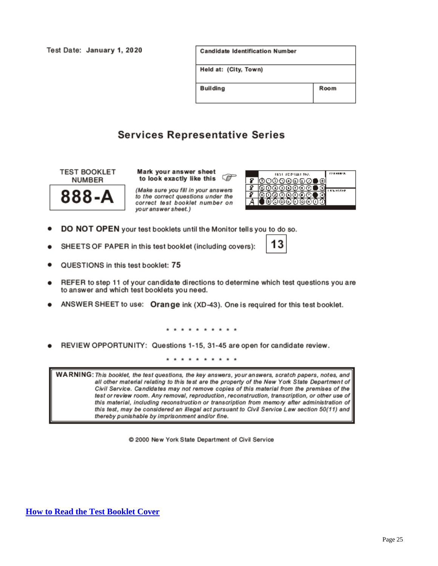Test Date: January 1, 2020

| Candidate Identification Number |      |
|---------------------------------|------|
| Held at: (City, Town)           |      |
| Building                        | Room |

## **Services Representative Series**

**TEST BOOKLET NUMBER** 



Mark your answer sheet Œ to look exactly like this

(Make sure you fill in your answers to the correct questions under the correct test booklet number on your answer sheet.)



- DO NOT OPEN your test booklets until the Monitor tells you to do so.
- SHEETS OF PAPER in this test booklet (including covers):

|--|

- QUESTIONS in this test booklet: 75
- REFER to step 11 of your candidate directions to determine which test questions you are to answer and which test booklets you need.
- ANSWER SHEET to use: Orange ink (XD-43). One is required for this test booklet.

. . . . . . . . .

REVIEW OPPORTUNITY: Questions 1-15, 31-45 are open for candidate review.

\* \* \* \* \* \* \* \* \* \*

WARNING: This booklet, the test questions, the key answers, your answers, scratch papers, notes, and all other material relating to this test are the property of the New York State Department of Civil Service. Candidates may not remove copies of this material from the premises of the test or review room. Any removal, reproduction, reconstruction, transcription, or other use of this material, including reconstruction or transcription from memory after administration of this test, may be considered an illegal act pursuant to Civil Service Law section 50(11) and thereby punishable by imprisonment and/or fine.

© 2000 New York State Department of Civil Service

<span id="page-24-0"></span>**How to Read [the Test Booklet Cover](#page-2-0)**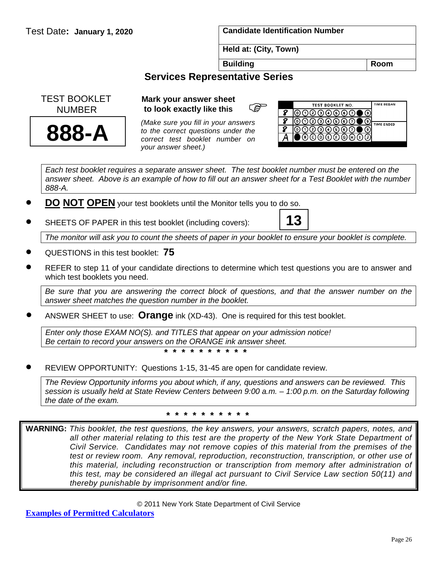Test Date**: January 1, 2020 Candidate Identification Number**

**13**

**Held at: (City, Town)**

**Building Room** 

## **Services Representative Series**

 TEST BOOKLET NUMBER



# **Mark your answer sheet**<br> **to look exactly like this**<br>  $\begin{matrix}\n\mathbf{G} \\
\mathbf{G}\n\end{matrix}$ **to look exactly like this**

*(Make sure you fill in your answers to the correct questions under the correct test booklet number on your answer sheet.)*



*Each test booklet requires a separate answer sheet. The test booklet number must be entered on the answer sheet. Above is an example of how to fill out an answer sheet for a Test Booklet with the number 888-A.* 

- **DO NOT OPEN** your test booklets until the Monitor tells you to do so.
- SHEETS OF PAPER in this test booklet (including covers):

*The monitor will ask you to count the sheets of paper in your booklet to ensure your booklet is complete.*

- QUESTIONS in this test booklet: **75**
- REFER to step 11 of your candidate directions to determine which test questions you are to answer and which test booklets you need.

*Be sure that you are answering the correct block of questions, and that the answer number on the answer sheet matches the question number in the booklet.*

• ANSWER SHEET to use: **Orange** ink (XD-43). One is required for this test booklet.

*Enter only those EXAM NO(S). and TITLES that appear on your admission notice! Be certain to record your answers on the ORANGE ink answer sheet.*

**\* \* \* \* \* \* \* \* \* \***

• REVIEW OPPORTUNITY: Questions 1-15, 31-45 are open for candidate review.

*The Review Opportunity informs you about which, if any, questions and answers can be reviewed. This session is usually held at State Review Centers between 9:00 a.m. – 1:00 p.m. on the Saturday following the date of the exam.*

#### **\* \* \* \* \* \* \* \* \* \***

<span id="page-25-0"></span>**WARNING:** *This booklet, the test questions, the key answers, your answers, scratch papers, notes, and all other material relating to this test are the property of the New York State Department of Civil Service. Candidates may not remove copies of this material from the premises of the test or review room. Any removal, reproduction, reconstruction, transcription, or other use of this material, including reconstruction or transcription from memory after administration of this test, may be considered an illegal act pursuant to Civil Service Law section 50(11) and thereby punishable by imprisonment and/or fine.*

© 2011 New York State Department of Civil Service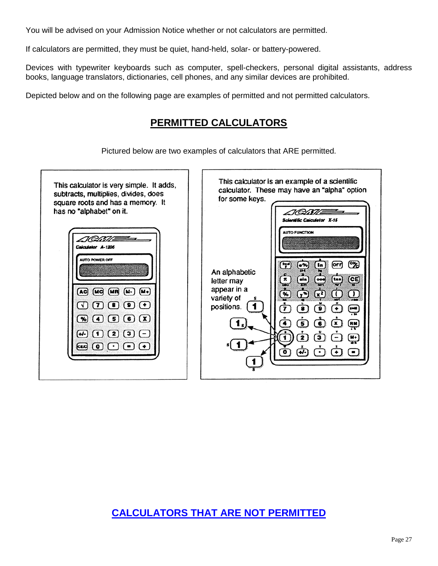You will be advised on your Admission Notice whether or not calculators are permitted.

If calculators are permitted, they must be quiet, hand-held, solar- or battery-powered.

Devices with typewriter keyboards such as computer, spell-checkers, personal digital assistants, address books, language translators, dictionaries, cell phones, and any similar devices are prohibited.

Depicted below and on the following page are examples of permitted and not permitted calculators.

## **PERMITTED CALCULATORS**

Pictured below are two examples of calculators that ARE permitted.



# <span id="page-26-0"></span>**[CALCULATORS THAT ARE NOT PERMITTED](#page-2-0)**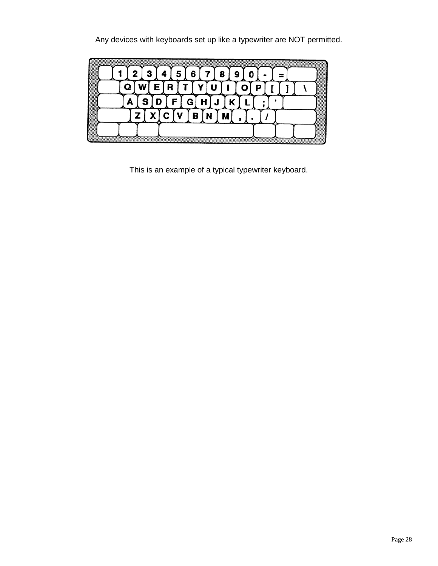Any devices with keyboards set up like a typewriter are NOT permitted.

|  |  | 2 |  | $\sqrt{5}$ | 6<br>о | 78<br>œ | 9 |  |  |  |  |  |
|--|--|---|--|------------|--------|---------|---|--|--|--|--|--|
|  |  |   |  |            |        |         |   |  |  |  |  |  |
|  |  |   |  |            |        |         |   |  |  |  |  |  |
|  |  |   |  |            | Β      |         |   |  |  |  |  |  |
|  |  |   |  |            |        |         |   |  |  |  |  |  |

This is an example of a typical typewriter keyboard.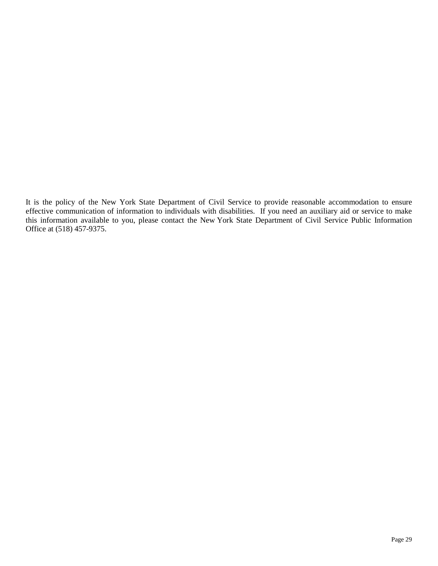It is the policy of the New York State Department of Civil Service to provide reasonable accommodation to ensure effective communication of information to individuals with disabilities. If you need an auxiliary aid or service to make this information available to you, please contact the New York State Department of Civil Service Public Information Office at (518) 457-9375.